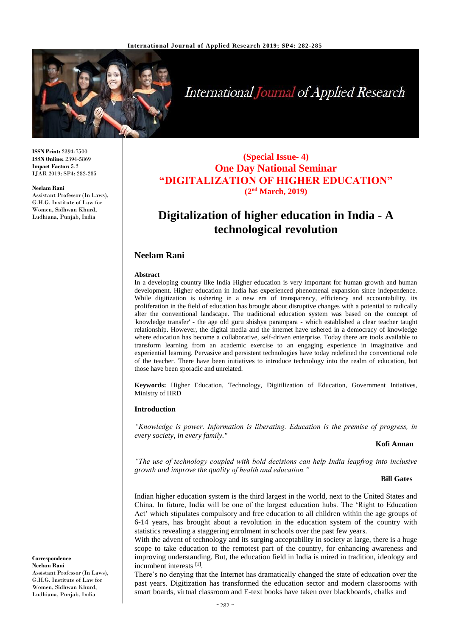

# International Journal of Applied Research

**ISSN Print:** 2394-7500 **ISSN Online:** 2394-5869 **Impact Factor:** 5.2 IJAR 2019; SP4: 282-285

#### **Neelam Rani**

Assistant Professor (In Laws), G.H.G. Institute of Law for Women, Sidhwan Khurd, Ludhiana, Punjab, India

### **(Special Issue- 4) One Day National Seminar "DIGITALIZATION OF HIGHER EDUCATION" (2nd March, 2019)**

## **Digitalization of higher education in India - A technological revolution**

#### **Neelam Rani**

#### **Abstract**

In a developing country like India Higher education is very important for human growth and human development. Higher education in India has experienced phenomenal expansion since independence. While digitization is ushering in a new era of transparency, efficiency and accountability, its proliferation in the field of education has brought about disruptive changes with a potential to radically alter the conventional landscape. The traditional education system was based on the concept of 'knowledge transfer' - the age old guru shishya parampara - which established a clear teacher taught relationship. However, the digital media and the internet have ushered in a democracy of knowledge where education has become a collaborative, self-driven enterprise. Today there are tools available to transform learning from an academic exercise to an engaging experience in imaginative and experiential learning. Pervasive and persistent technologies have today redefined the conventional role of the teacher. There have been initiatives to introduce technology into the realm of education, but those have been sporadic and unrelated.

**Keywords:** Higher Education, Technology, Digitilization of Education, Government Intiatives, Ministry of HRD

#### **Introduction**

*"Knowledge is power. Information is liberating. Education is the premise of progress, in every society, in every family."* 

#### **Kofi Annan**

*"The use of technology coupled with bold decisions can help India leapfrog into inclusive growth and improve the quality of health and education."* 

#### **Bill Gates**

Indian higher education system is the third largest in the world, next to the United States and China. In future, India will be one of the largest education hubs. The 'Right to Education Act' which stipulates compulsory and free education to all children within the age groups of 6-14 years, has brought about a revolution in the education system of the country with statistics revealing a staggering enrolment in schools over the past few years.

With the advent of technology and its surging acceptability in society at large, there is a huge scope to take education to the remotest part of the country, for enhancing awareness and improving understanding. But, the education field in India is mired in tradition, ideology and incumbent interests [1].

There's no denying that the Internet has dramatically changed the state of education over the past years. Digitization has transformed the education sector and modern classrooms with smart boards, virtual classroom and E-text books have taken over blackboards, chalks and

**Correspondence Neelam Rani** Assistant Professor (In Laws), G.H.G. Institute of Law for Women, Sidhwan Khurd, Ludhiana, Punjab, India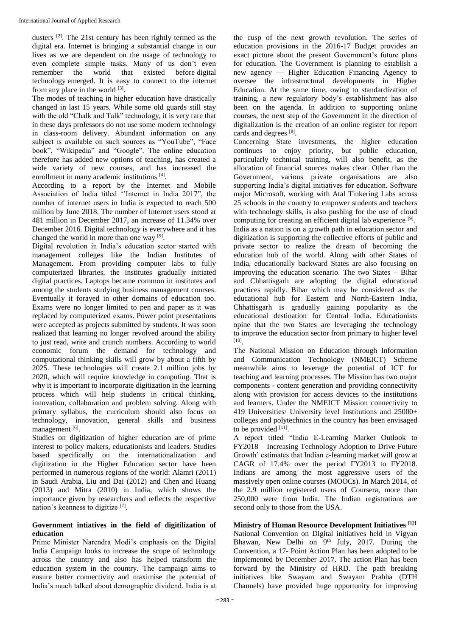dusters <sup>[2]</sup>. The 21st century has been rightly termed as the digital era. Internet is bringing a substantial change in our lives as we are dependent on the usage of technology to even complete simple tasks. Many of us don't even remember the world that existed before digital technology emerged. It is easy to connect to the internet from any place in the world [3].

The modes of teaching in higher education have drastically changed in last 15 years. While some old guards still stay with the old "Chalk and Talk" technology, it is very rare that in these days professors do not use some modern technology in class-room delivery. Abundant information on any subject is available on such sources as "YouTube", "Face book", "Wikipedia" and "Google". The online education therefore has added new options of teaching, has created a wide variety of new courses, and has increased the enrollment in many academic institutions [4].

According to a report by the Internet and Mobile Association of India titled ''Internet in India 2017", the number of internet users in India is expected to reach 500 million by June 2018. The number of Internet users stood at 481 million in December 2017, an increase of 11.34% over December 2016. Digital technology is everywhere and it has changed the world in more than one way [5].

Digital revolution in India's education sector started with management colleges like the Indian Institutes of Management. From providing computer labs to fully computerized libraries, the institutes gradually initiated digital practices. Laptops became common in institutes and among the students studying business management courses. Eventually it forayed in other domains of education too. Exams were no longer limited to pen and paper as it was replaced by computerized exams. Power point presentations were accepted as projects submitted by students. It was soon realized that learning no longer revolved around the ability to just read, write and crunch numbers. According to world economic forum the demand for technology and computational thinking skills will grow by about a fifth by 2025. These technologies will create 2.1 million jobs by 2020, which will require knowledge in computing. That is why it is important to incorporate digitization in the learning process which will help students in critical thinking, innovation, collaboration and problem solving. Along with primary syllabus, the curriculum should also focus on technology, innovation, general skills and business management [6].

Studies on digitization of higher education are of prime interest to policy makers, educationists and leaders. Studies based specifically on the internationalization and digitization in the Higher Education sector have been performed in numerous regions of the world: Alamri (2011) in Saudi Arabia, Liu and Dai (2012) and Chen and Huang (2013) and Mitra (2010) in India, which shows the importance given by researchers and reflects the respective nation's keenness to digitize [7].

#### **Government intiatives in the field of digitilization of education**

Prime Minister Narendra Modi's emphasis on the Digital India Campaign looks to increase the scope of technology across the country and also has helped transform the education system in the country. The campaign aims to ensure better connectivity and maximise the potential of India's much talked about demographic dividend. India is at

the cusp of the next growth revolution. The series of education provisions in the 2016-17 Budget provides an exact picture about the present Government's future plans for education. The Government is planning to establish a new agency — Higher Education Financing Agency to oversee the infrastructural developments in Higher Education. At the same time, owing to standardization of training, a new regulatory body's establishment has also been on the agenda. In addition to supporting online courses, the next step of the Government in the direction of digitalization is the creation of an online register for report cards and degrees [8].

Concerning State investments, the higher education continues to enjoy priority, but public education, particularly technical training, will also benefit, as the allocation of financial sources makes clear. Other than the Government, various private organisations are also supporting India's digital initiatives for education. Software major Microsoft, working with Atal Tinkering Labs across 25 schools in the country to empower students and teachers with technology skills, is also pushing for the use of cloud computing for creating an efficient digital lab experience [9]. India as a nation is on a growth path in education sector and digitization is supporting the collective efforts of public and private sector to realize the dream of becoming the education hub of the world. Along with other States of India, educationally backward States are also focusing on improving the education scenario. The two States – Bihar and Chhattisgarh are adopting the digital educational practices rapidly. Bihar which may be considered as the educational hub for Eastern and North-Eastern India, Chhattisgarh is gradually gaining popularity as the educational destination for Central India. Educationists opine that the two States are leveraging the technology to improve the education sector from primary to higher level [10] .

The National Mission on Education through Information and Communication Technology (NMEICT) Scheme meanwhile aims to leverage the potential of ICT for teaching and learning processes. The Mission has two major components - content generation and providing connectivity along with provision for access devices to the institutions and learners. Under the NMEICT Mission connectivity to 419 Universities/ University level Institutions and 25000+ colleges and polytechnics in the country has been envisaged to be provided  $[11]$ .

A report titled "India E-Learning Market Outlook to FY2018 – Increasing Technology Adoption to Drive Future Growth' estimates that Indian e-learning market will grow at CAGR of 17.4% over the period FY2013 to FY2018. Indians are among the most aggressive users of the massively open online courses (MOOCs). In March 2014, of the 2.9 million registered users of Coursera, more than 250,000 were from India. The Indian registrations are second only to those from the USA.

**Ministry of Human Resource Development Initiatives [12]** National Convention on Digital initiatives held in Vigyan Bhawan, New Delhi on  $9<sup>th</sup>$  July, 2017. During the Convention, a 17- Point Action Plan has been adopted to be implemented by December 2017. The action Plan has been forward by the Ministry of HRD. The path breaking initiatives like Swayam and Swayam Prabha (DTH Channels) have provided huge opportunity for improving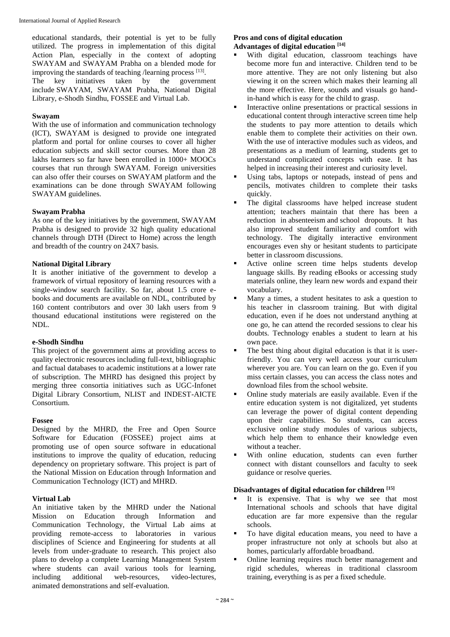educational standards, their potential is yet to be fully utilized. The progress in implementation of this digital Action Plan, especially in the context of adopting SWAYAM and SWAYAM Prabha on a blended mode for improving the standards of teaching /learning process [13]. The key initiatives taken by the government include SWAYAM, SWAYAM Prabha, National Digital Library, e-Shodh Sindhu, FOSSEE and Virtual Lab.

#### **Swayam**

With the use of information and communication technology (ICT), SWAYAM is designed to provide one integrated platform and portal for online courses to cover all higher education subjects and skill sector courses. More than 28 lakhs learners so far have been enrolled in 1000+ MOOCs courses that run through SWAYAM. Foreign universities can also offer their courses on SWAYAM platform and the examinations can be done through SWAYAM following SWAYAM guidelines.

#### **Swayam Prabha**

As one of the key initiatives by the government, SWAYAM Prabha is designed to provide 32 high quality educational channels through DTH (Direct to Home) across the length and breadth of the country on 24X7 basis.

#### **National Digital Library**

It is another initiative of the government to develop a framework of virtual repository of learning resources with a single-window search facility. So far, about 1.5 crore ebooks and documents are available on NDL, contributed by 160 content contributors and over 30 lakh users from 9 thousand educational institutions were registered on the NDL.

#### **e-Shodh Sindhu**

This project of the government aims at providing access to quality electronic resources including full-text, bibliographic and factual databases to academic institutions at a lower rate of subscription. The MHRD has designed this project by merging three consortia initiatives such as UGC-Infonet Digital Library Consortium, NLIST and INDEST-AICTE Consortium.

#### **Fossee**

Designed by the MHRD, the Free and Open Source Software for Education (FOSSEE) project aims at promoting use of open source software in educational institutions to improve the quality of education, reducing dependency on proprietary software. This project is part of the National Mission on Education through Information and Communication Technology (ICT) and MHRD.

#### **Virtual Lab**

An initiative taken by the MHRD under the National Mission on Education through Information and Communication Technology, the Virtual Lab aims at providing remote-access to laboratories in various disciplines of Science and Engineering for students at all levels from under-graduate to research. This project also plans to develop a complete Learning Management System where students can avail various tools for learning,<br>including additional web-resources, video-lectures, including additional web-resources, video-lectures, animated demonstrations and self-evaluation.

#### **Pros and cons of digital education Advantages of digital education [14]**

- With digital education, classroom teachings have become more fun and interactive. Children tend to be more attentive. They are not only listening but also viewing it on the screen which makes their learning all the more effective. Here, sounds and visuals go handin-hand which is easy for the child to grasp.
- Interactive online presentations or practical sessions in educational content through interactive screen time help the students to pay more attention to details which enable them to complete their activities on their own. With the use of interactive modules such as videos, and presentations as a medium of learning, students get to understand complicated concepts with ease. It has helped in increasing their interest and curiosity level.
- Using tabs, laptops or notepads, instead of pens and pencils, motivates children to complete their tasks quickly.
- The digital classrooms have helped increase student attention; teachers maintain that there has been a reduction in absenteeism and school dropouts. It has also improved student familiarity and comfort with technology. The digitally interactive environment encourages even shy or hesitant students to participate better in classroom discussions.
- Active online screen time helps students develop language skills. By reading eBooks or accessing study materials online, they learn new words and expand their vocabulary.
- Many a times, a student hesitates to ask a question to his teacher in classroom training. But with digital education, even if he does not understand anything at one go, he can attend the recorded sessions to clear his doubts. Technology enables a student to learn at his own pace.
- The best thing about digital education is that it is userfriendly. You can very well access your curriculum wherever you are. You can learn on the go. Even if you miss certain classes, you can access the class notes and download files from the school website.
- Online study materials are easily available. Even if the entire education system is not digitalized, yet students can leverage the power of digital content depending upon their capabilities. So students, can access exclusive online study modules of various subjects, which help them to enhance their knowledge even without a teacher.
- With online education, students can even further connect with distant counsellors and faculty to seek guidance or resolve queries.

#### **Disadvantages of digital education for children [15]**

- It is expensive. That is why we see that most International schools and schools that have digital education are far more expensive than the regular schools.
- To have digital education means, you need to have a proper infrastructure not only at schools but also at homes, particularly affordable broadband.
- Online learning requires much better management and rigid schedules, whereas in traditional classroom training, everything is as per a fixed schedule.